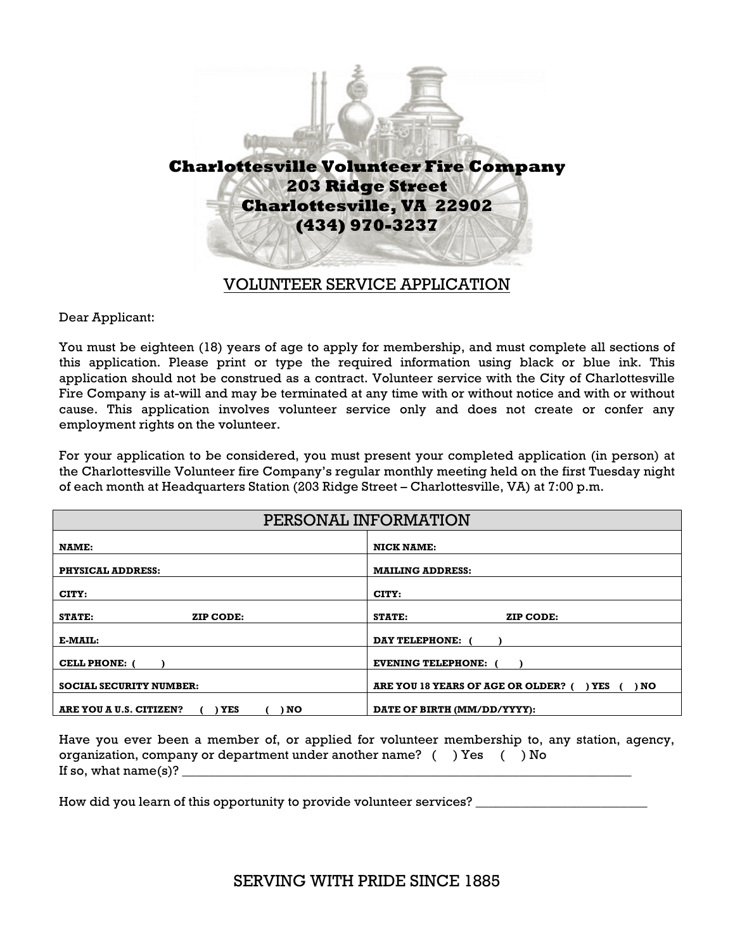

## VOLUNTEER SERVICE APPLICATION

Dear Applicant:

You must be eighteen (18) years of age to apply for membership, and must complete all sections of this application. Please print or type the required information using black or blue ink. This application should not be construed as a contract. Volunteer service with the City of Charlottesville Fire Company is at-will and may be terminated at any time with or without notice and with or without cause. This application involves volunteer service only and does not create or confer any employment rights on the volunteer.

For your application to be considered, you must present your completed application (in person) at the Charlottesville Volunteer fire Company's regular monthly meeting held on the first Tuesday night of each month at Headquarters Station (203 Ridge Street – Charlottesville, VA) at 7:00 p.m.

| PERSONAL INFORMATION                   |                                                      |
|----------------------------------------|------------------------------------------------------|
| NAME:                                  | <b>NICK NAME:</b>                                    |
| <b>PHYSICAL ADDRESS:</b>               | <b>MAILING ADDRESS:</b>                              |
| CITY:                                  | CITY:                                                |
| <b>STATE:</b><br>ZIP CODE:             | STATE:<br>ZIP CODE:                                  |
| E-MAIL:                                | DAY TELEPHONE: (                                     |
| <b>CELL PHONE: (</b>                   | <b>EVENING TELEPHONE:</b>                            |
| <b>SOCIAL SECURITY NUMBER:</b>         | ARE YOU 18 YEARS OF AGE OR OLDER? (<br>) NO<br>) YES |
| ARE YOU A U.S. CITIZEN?<br>YES<br>) NO | DATE OF BIRTH (MM/DD/YYYY):                          |

Have you ever been a member of, or applied for volunteer membership to, any station, agency, organization, company or department under another name? ( ) Yes ( ) No If so, what  $name(s)$ ?

How did you learn of this opportunity to provide volunteer services?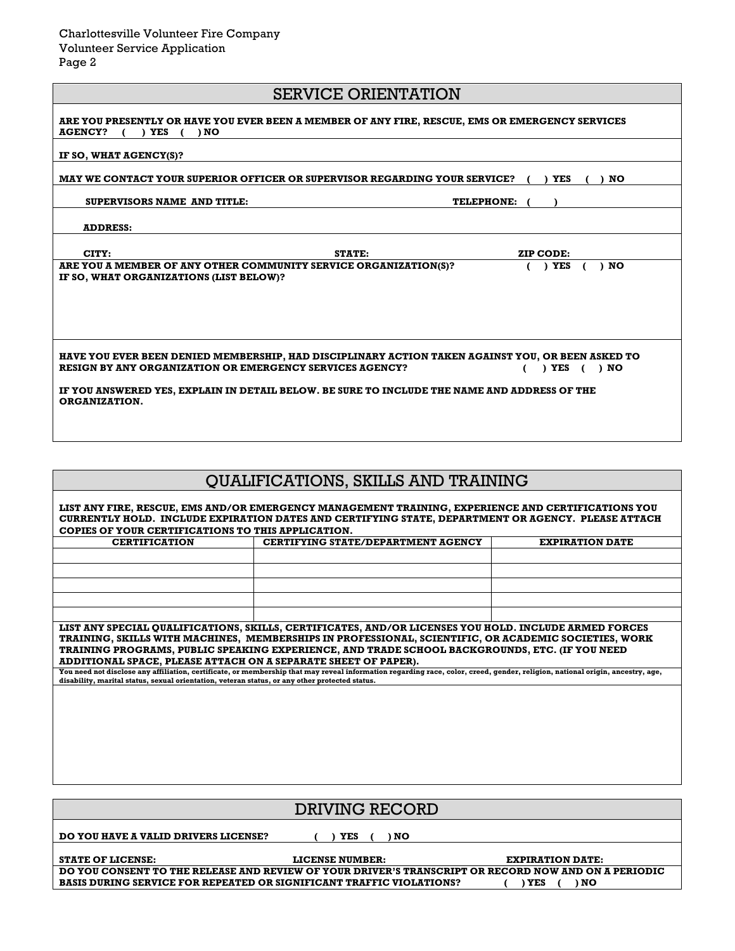|  | <b>SERVICE ORIENTATION</b> |
|--|----------------------------|
|--|----------------------------|

| ARE YOU PRESENTLY OR HAVE YOU EVER BEEN A MEMBER OF ANY FIRE, RESCUE, EMS OR EMERGENCY SERVICES<br><b>AGENCY?</b><br>$($ $)$ NO<br>YES                                                             |        |                   |  |
|----------------------------------------------------------------------------------------------------------------------------------------------------------------------------------------------------|--------|-------------------|--|
| IF SO, WHAT AGENCY(S)?                                                                                                                                                                             |        |                   |  |
| MAY WE CONTACT YOUR SUPERIOR OFFICER OR SUPERVISOR REGARDING YOUR SERVICE?<br><b>YES</b><br>NO                                                                                                     |        |                   |  |
| SUPERVISORS NAME AND TITLE:                                                                                                                                                                        |        | <b>TELEPHONE:</b> |  |
| <b>ADDRESS:</b>                                                                                                                                                                                    |        |                   |  |
| CITY:                                                                                                                                                                                              | STATE: | ZIP CODE:         |  |
| ARE YOU A MEMBER OF ANY OTHER COMMUNITY SERVICE ORGANIZATION(S)?<br>IF SO, WHAT ORGANIZATIONS (LIST BELOW)?                                                                                        |        | ) YES<br>) NO     |  |
|                                                                                                                                                                                                    |        |                   |  |
|                                                                                                                                                                                                    |        |                   |  |
|                                                                                                                                                                                                    |        |                   |  |
| HAVE YOU EVER BEEN DENIED MEMBERSHIP, HAD DISCIPLINARY ACTION TAKEN AGAINST YOU, OR BEEN ASKED TO<br><b>RESIGN BY ANY ORGANIZATION OR EMERGENCY SERVICES AGENCY?</b><br>) <b>YES</b> ( ) <b>NO</b> |        |                   |  |
| IF YOU ANSWERED YES, EXPLAIN IN DETAIL BELOW. BE SURE TO INCLUDE THE NAME AND ADDRESS OF THE<br><b>ORGANIZATION.</b>                                                                               |        |                   |  |
|                                                                                                                                                                                                    |        |                   |  |
|                                                                                                                                                                                                    |        |                   |  |

## QUALIFICATIONS, SKILLS AND TRAINING

| LIST ANY FIRE, RESCUE, EMS AND/OR EMERGENCY MANAGEMENT TRAINING, EXPERIENCE AND CERTIFICATIONS YOU<br>CURRENTLY HOLD. INCLUDE EXPIRATION DATES AND CERTIFYING STATE, DEPARTMENT OR AGENCY. PLEASE ATTACH<br>COPIES OF YOUR CERTIFICATIONS TO THIS APPLICATION.                  |                                                                                                |                        |
|---------------------------------------------------------------------------------------------------------------------------------------------------------------------------------------------------------------------------------------------------------------------------------|------------------------------------------------------------------------------------------------|------------------------|
| <b>CERTIFICATION</b>                                                                                                                                                                                                                                                            | <b>CERTIFYING STATE/DEPARTMENT AGENCY</b>                                                      | <b>EXPIRATION DATE</b> |
|                                                                                                                                                                                                                                                                                 |                                                                                                |                        |
|                                                                                                                                                                                                                                                                                 |                                                                                                |                        |
|                                                                                                                                                                                                                                                                                 |                                                                                                |                        |
|                                                                                                                                                                                                                                                                                 |                                                                                                |                        |
|                                                                                                                                                                                                                                                                                 |                                                                                                |                        |
| LIST ANY SPECIAL QUALIFICATIONS, SKILLS, CERTIFICATES, AND/OR LICENSES YOU HOLD. INCLUDE ARMED FORCES<br>TRAINING, SKILLS WITH MACHINES, MEMBERSHIPS IN PROFESSIONAL, SCIENTIFIC, OR ACADEMIC SOCIETIES, WORK                                                                   |                                                                                                |                        |
|                                                                                                                                                                                                                                                                                 | TRAINING PROGRAMS, PUBLIC SPEAKING EXPERIENCE, AND TRADE SCHOOL BACKGROUNDS, ETC. (IF YOU NEED |                        |
| ADDITIONAL SPACE, PLEASE ATTACH ON A SEPARATE SHEET OF PAPER).                                                                                                                                                                                                                  |                                                                                                |                        |
| You need not disclose any affiliation, certificate, or membership that may reveal information regarding race, color, creed, gender, religion, national origin, ancestry, age,<br>disability, marital status, sexual orientation, veteran status, or any other protected status. |                                                                                                |                        |
|                                                                                                                                                                                                                                                                                 |                                                                                                |                        |
|                                                                                                                                                                                                                                                                                 |                                                                                                |                        |
|                                                                                                                                                                                                                                                                                 |                                                                                                |                        |
|                                                                                                                                                                                                                                                                                 |                                                                                                |                        |
|                                                                                                                                                                                                                                                                                 |                                                                                                |                        |
|                                                                                                                                                                                                                                                                                 |                                                                                                |                        |
|                                                                                                                                                                                                                                                                                 |                                                                                                |                        |
|                                                                                                                                                                                                                                                                                 |                                                                                                |                        |

| DRIVING RECORD                                                                                                                                                                                   |                 |                         |
|--------------------------------------------------------------------------------------------------------------------------------------------------------------------------------------------------|-----------------|-------------------------|
| DO YOU HAVE A VALID DRIVERS LICENSE?<br>NO<br>YES                                                                                                                                                |                 |                         |
| <b>STATE OF LICENSE:</b>                                                                                                                                                                         | LICENSE NUMBER: | <b>EXPIRATION DATE:</b> |
| DO YOU CONSENT TO THE RELEASE AND REVIEW OF YOUR DRIVER'S TRANSCRIPT OR RECORD NOW AND ON A PERIODIC<br><b>BASIS DURING SERVICE FOR REPEATED OR SIGNIFICANT TRAFFIC VIOLATIONS?</b><br>YES<br>NO |                 |                         |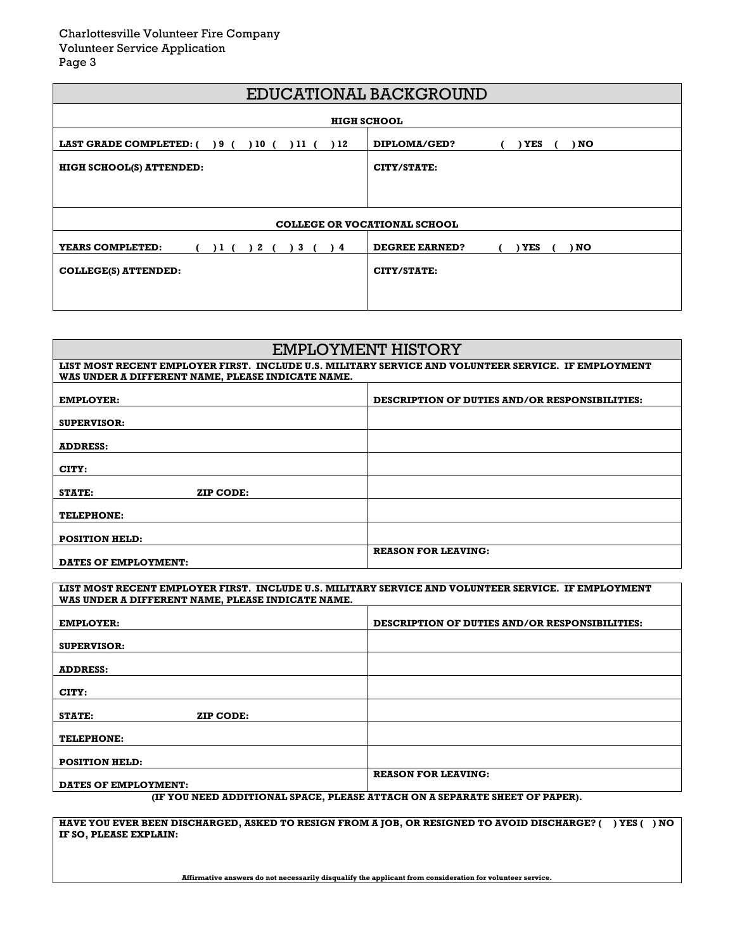| EDUCATIONAL BACKGROUND                              |                                      |  |
|-----------------------------------------------------|--------------------------------------|--|
| <b>HIGH SCHOOL</b>                                  |                                      |  |
| LAST GRADE COMPLETED: () 9 (<br>) 10 (<br>11(<br>12 | DIPLOMA/GED?<br>YES<br>) NO          |  |
| HIGH SCHOOL(S) ATTENDED:                            | CITY/STATE:                          |  |
|                                                     |                                      |  |
|                                                     |                                      |  |
| <b>COLLEGE OR VOCATIONAL SCHOOL</b>                 |                                      |  |
| YEARS COMPLETED:<br>3<br>) 1 (<br>2<br>)4           | <b>DEGREE EARNED?</b><br>YES<br>) NO |  |
| <b>COLLEGE(S) ATTENDED:</b>                         | CITY/STATE:                          |  |
|                                                     |                                      |  |
|                                                     |                                      |  |

| EMPLOYMENT HISTORY                                                                                                                                       |                                                       |
|----------------------------------------------------------------------------------------------------------------------------------------------------------|-------------------------------------------------------|
| LIST MOST RECENT EMPLOYER FIRST. INCLUDE U.S. MILITARY SERVICE AND VOLUNTEER SERVICE. IF EMPLOYMENT<br>WAS UNDER A DIFFERENT NAME, PLEASE INDICATE NAME. |                                                       |
| <b>EMPLOYER:</b>                                                                                                                                         | <b>DESCRIPTION OF DUTIES AND/OR RESPONSIBILITIES:</b> |
| SUPERVISOR:                                                                                                                                              |                                                       |
| <b>ADDRESS:</b>                                                                                                                                          |                                                       |
| CITY:                                                                                                                                                    |                                                       |
| <b>STATE:</b><br>ZIP CODE:                                                                                                                               |                                                       |
| <b>TELEPHONE:</b>                                                                                                                                        |                                                       |
| <b>POSITION HELD:</b>                                                                                                                                    |                                                       |
| DATES OF EMPLOYMENT:                                                                                                                                     | <b>REASON FOR LEAVING:</b>                            |

| LIST MOST RECENT EMPLOYER FIRST. INCLUDE U.S. MILITARY SERVICE AND VOLUNTEER SERVICE. IF EMPLOYMENT<br>WAS UNDER A DIFFERENT NAME, PLEASE INDICATE NAME. |                                                       |
|----------------------------------------------------------------------------------------------------------------------------------------------------------|-------------------------------------------------------|
| <b>EMPLOYER:</b>                                                                                                                                         | <b>DESCRIPTION OF DUTIES AND/OR RESPONSIBILITIES:</b> |
| <b>SUPERVISOR:</b>                                                                                                                                       |                                                       |
| <b>ADDRESS:</b>                                                                                                                                          |                                                       |
| CITY:                                                                                                                                                    |                                                       |
| ZIP CODE:<br><b>STATE:</b>                                                                                                                               |                                                       |
| <b>TELEPHONE:</b>                                                                                                                                        |                                                       |
| <b>POSITION HELD:</b>                                                                                                                                    |                                                       |
| <b>DATES OF EMPLOYMENT:</b>                                                                                                                              | <b>REASON FOR LEAVING:</b>                            |

**(IF YOU NEED ADDITIONAL SPACE, PLEASE ATTACH ON A SEPARATE SHEET OF PAPER).**

**HAVE YOU EVER BEEN DISCHARGED, ASKED TO RESIGN FROM A JOB, OR RESIGNED TO AVOID DISCHARGE? ( ) YES ( ) NO IF SO, PLEASE EXPLAIN:**

**Affirmative answers do not necessarily disqualify the applicant from consideration for volunteer service.**